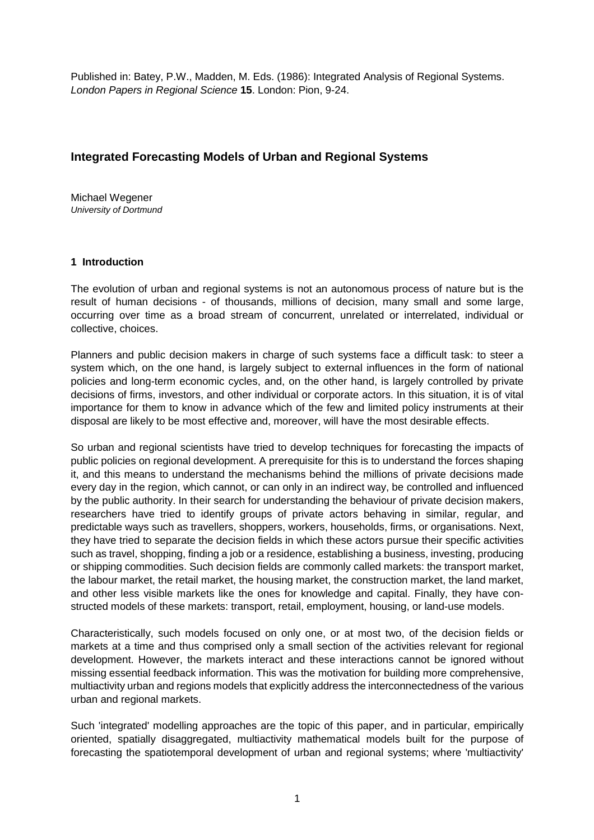Published in: Batey, P.W., Madden, M. Eds. (1986): Integrated Analysis of Regional Systems. London Papers in Regional Science **15**. London: Pion, 9-24.

# **Integrated Forecasting Models of Urban and Regional Systems**

Michael Wegener University of Dortmund

#### **1 Introduction**

The evolution of urban and regional systems is not an autonomous process of nature but is the result of human decisions - of thousands, millions of decision, many small and some large, occurring over time as a broad stream of concurrent, unrelated or interrelated, individual or collective, choices.

Planners and public decision makers in charge of such systems face a difficult task: to steer a system which, on the one hand, is largely subject to external influences in the form of national policies and long-term economic cycles, and, on the other hand, is largely controlled by private decisions of firms, investors, and other individual or corporate actors. In this situation, it is of vital importance for them to know in advance which of the few and limited policy instruments at their disposal are likely to be most effective and, moreover, will have the most desirable effects.

So urban and regional scientists have tried to develop techniques for forecasting the impacts of public policies on regional development. A prerequisite for this is to understand the forces shaping it, and this means to understand the mechanisms behind the millions of private decisions made every day in the region, which cannot, or can only in an indirect way, be controlled and influenced by the public authority. In their search for understanding the behaviour of private decision makers, researchers have tried to identify groups of private actors behaving in similar, regular, and predictable ways such as travellers, shoppers, workers, households, firms, or organisations. Next, they have tried to separate the decision fields in which these actors pursue their specific activities such as travel, shopping, finding a job or a residence, establishing a business, investing, producing or shipping commodities. Such decision fields are commonly called markets: the transport market, the labour market, the retail market, the housing market, the construction market, the land market, and other less visible markets like the ones for knowledge and capital. Finally, they have constructed models of these markets: transport, retail, employment, housing, or land-use models.

Characteristically, such models focused on only one, or at most two, of the decision fields or markets at a time and thus comprised only a small section of the activities relevant for regional development. However, the markets interact and these interactions cannot be ignored without missing essential feedback information. This was the motivation for building more comprehensive, multiactivity urban and regions models that explicitly address the interconnectedness of the various urban and regional markets.

Such 'integrated' modelling approaches are the topic of this paper, and in particular, empirically oriented, spatially disaggregated, multiactivity mathematical models built for the purpose of forecasting the spatiotemporal development of urban and regional systems; where 'multiactivity'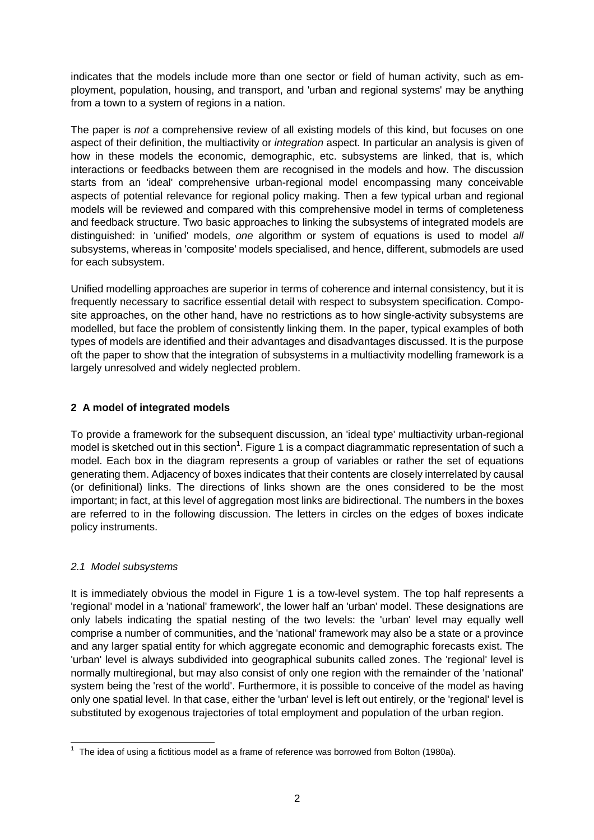indicates that the models include more than one sector or field of human activity, such as employment, population, housing, and transport, and 'urban and regional systems' may be anything from a town to a system of regions in a nation.

The paper is not a comprehensive review of all existing models of this kind, but focuses on one aspect of their definition, the multiactivity or *integration* aspect. In particular an analysis is given of how in these models the economic, demographic, etc. subsystems are linked, that is, which interactions or feedbacks between them are recognised in the models and how. The discussion starts from an 'ideal' comprehensive urban-regional model encompassing many conceivable aspects of potential relevance for regional policy making. Then a few typical urban and regional models will be reviewed and compared with this comprehensive model in terms of completeness and feedback structure. Two basic approaches to linking the subsystems of integrated models are distinguished: in 'unified' models, one algorithm or system of equations is used to model all subsystems, whereas in 'composite' models specialised, and hence, different, submodels are used for each subsystem.

Unified modelling approaches are superior in terms of coherence and internal consistency, but it is frequently necessary to sacrifice essential detail with respect to subsystem specification. Composite approaches, on the other hand, have no restrictions as to how single-activity subsystems are modelled, but face the problem of consistently linking them. In the paper, typical examples of both types of models are identified and their advantages and disadvantages discussed. It is the purpose oft the paper to show that the integration of subsystems in a multiactivity modelling framework is a largely unresolved and widely neglected problem.

## **2 A model of integrated models**

To provide a framework for the subsequent discussion, an 'ideal type' multiactivity urban-regional model is sketched out in this section<sup>1</sup>. Figure 1 is a compact diagrammatic representation of such a model. Each box in the diagram represents a group of variables or rather the set of equations generating them. Adjacency of boxes indicates that their contents are closely interrelated by causal (or definitional) links. The directions of links shown are the ones considered to be the most important; in fact, at this level of aggregation most links are bidirectional. The numbers in the boxes are referred to in the following discussion. The letters in circles on the edges of boxes indicate policy instruments.

### 2.1 Model subsystems

It is immediately obvious the model in Figure 1 is a tow-level system. The top half represents a 'regional' model in a 'national' framework', the lower half an 'urban' model. These designations are only labels indicating the spatial nesting of the two levels: the 'urban' level may equally well comprise a number of communities, and the 'national' framework may also be a state or a province and any larger spatial entity for which aggregate economic and demographic forecasts exist. The 'urban' level is always subdivided into geographical subunits called zones. The 'regional' level is normally multiregional, but may also consist of only one region with the remainder of the 'national' system being the 'rest of the world'. Furthermore, it is possible to conceive of the model as having only one spatial level. In that case, either the 'urban' level is left out entirely, or the 'regional' level is substituted by exogenous trajectories of total employment and population of the urban region.

 $\overline{a}$  $1$  The idea of using a fictitious model as a frame of reference was borrowed from Bolton (1980a).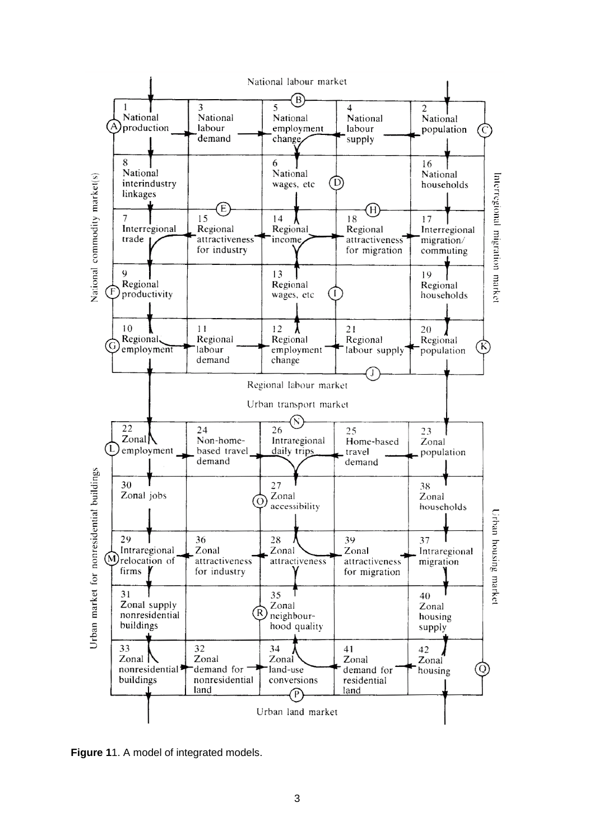

**Figure 1**1. A model of integrated models.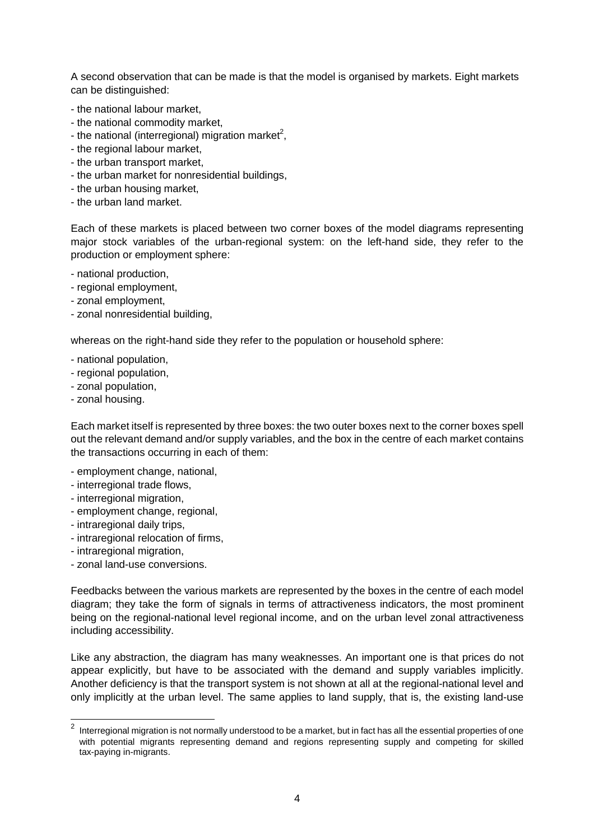A second observation that can be made is that the model is organised by markets. Eight markets can be distinguished:

- the national labour market,
- the national commodity market,
- the national (interregional) migration market<sup>2</sup>,
- the regional labour market,
- the urban transport market,
- the urban market for nonresidential buildings,
- the urban housing market,
- the urban land market.

Each of these markets is placed between two corner boxes of the model diagrams representing major stock variables of the urban-regional system: on the left-hand side, they refer to the production or employment sphere:

- national production,
- regional employment,
- zonal employment,
- zonal nonresidential building,

whereas on the right-hand side they refer to the population or household sphere:

- national population,
- regional population,
- zonal population,
- zonal housing.

Each market itself is represented by three boxes: the two outer boxes next to the corner boxes spell out the relevant demand and/or supply variables, and the box in the centre of each market contains the transactions occurring in each of them:

- employment change, national,
- interregional trade flows,
- interregional migration,
- employment change, regional,
- intraregional daily trips,
- intraregional relocation of firms,
- intraregional migration,

l

- zonal land-use conversions.

Feedbacks between the various markets are represented by the boxes in the centre of each model diagram; they take the form of signals in terms of attractiveness indicators, the most prominent being on the regional-national level regional income, and on the urban level zonal attractiveness including accessibility.

Like any abstraction, the diagram has many weaknesses. An important one is that prices do not appear explicitly, but have to be associated with the demand and supply variables implicitly. Another deficiency is that the transport system is not shown at all at the regional-national level and only implicitly at the urban level. The same applies to land supply, that is, the existing land-use

 $^{\rm 2}$  Interregional migration is not normally understood to be a market, but in fact has all the essential properties of one with potential migrants representing demand and regions representing supply and competing for skilled tax-paying in-migrants.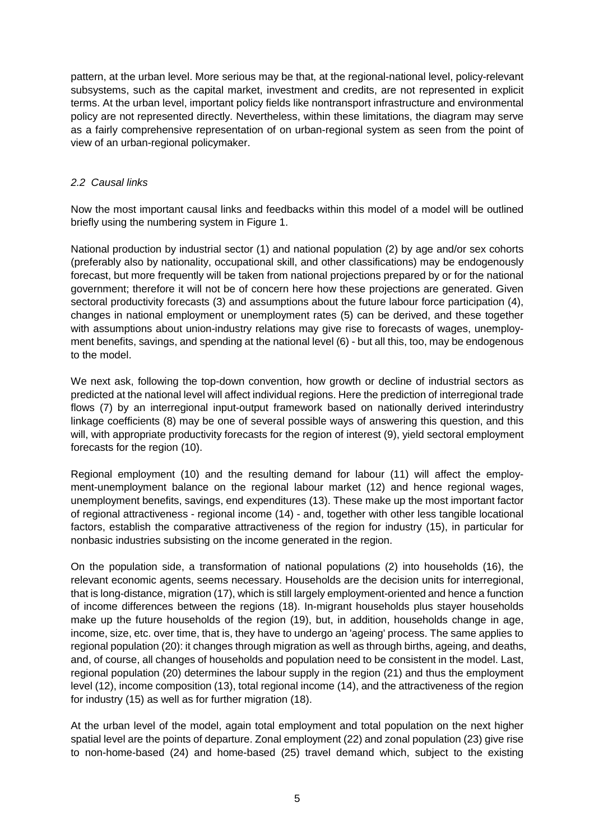pattern, at the urban level. More serious may be that, at the regional-national level, policy-relevant subsystems, such as the capital market, investment and credits, are not represented in explicit terms. At the urban level, important policy fields like nontransport infrastructure and environmental policy are not represented directly. Nevertheless, within these limitations, the diagram may serve as a fairly comprehensive representation of on urban-regional system as seen from the point of view of an urban-regional policymaker.

### 2.2 Causal links

Now the most important causal links and feedbacks within this model of a model will be outlined briefly using the numbering system in Figure 1.

National production by industrial sector (1) and national population (2) by age and/or sex cohorts (preferably also by nationality, occupational skill, and other classifications) may be endogenously forecast, but more frequently will be taken from national projections prepared by or for the national government; therefore it will not be of concern here how these projections are generated. Given sectoral productivity forecasts (3) and assumptions about the future labour force participation (4), changes in national employment or unemployment rates (5) can be derived, and these together with assumptions about union-industry relations may give rise to forecasts of wages, unemployment benefits, savings, and spending at the national level (6) - but all this, too, may be endogenous to the model.

We next ask, following the top-down convention, how growth or decline of industrial sectors as predicted at the national level will affect individual regions. Here the prediction of interregional trade flows (7) by an interregional input-output framework based on nationally derived interindustry linkage coefficients (8) may be one of several possible ways of answering this question, and this will, with appropriate productivity forecasts for the region of interest (9), yield sectoral employment forecasts for the region (10).

Regional employment (10) and the resulting demand for labour (11) will affect the employment-unemployment balance on the regional labour market (12) and hence regional wages, unemployment benefits, savings, end expenditures (13). These make up the most important factor of regional attractiveness - regional income (14) - and, together with other less tangible locational factors, establish the comparative attractiveness of the region for industry (15), in particular for nonbasic industries subsisting on the income generated in the region.

On the population side, a transformation of national populations (2) into households (16), the relevant economic agents, seems necessary. Households are the decision units for interregional, that is long-distance, migration (17), which is still largely employment-oriented and hence a function of income differences between the regions (18). In-migrant households plus stayer households make up the future households of the region (19), but, in addition, households change in age, income, size, etc. over time, that is, they have to undergo an 'ageing' process. The same applies to regional population (20): it changes through migration as well as through births, ageing, and deaths, and, of course, all changes of households and population need to be consistent in the model. Last, regional population (20) determines the labour supply in the region (21) and thus the employment level (12), income composition (13), total regional income (14), and the attractiveness of the region for industry (15) as well as for further migration (18).

At the urban level of the model, again total employment and total population on the next higher spatial level are the points of departure. Zonal employment (22) and zonal population (23) give rise to non-home-based (24) and home-based (25) travel demand which, subject to the existing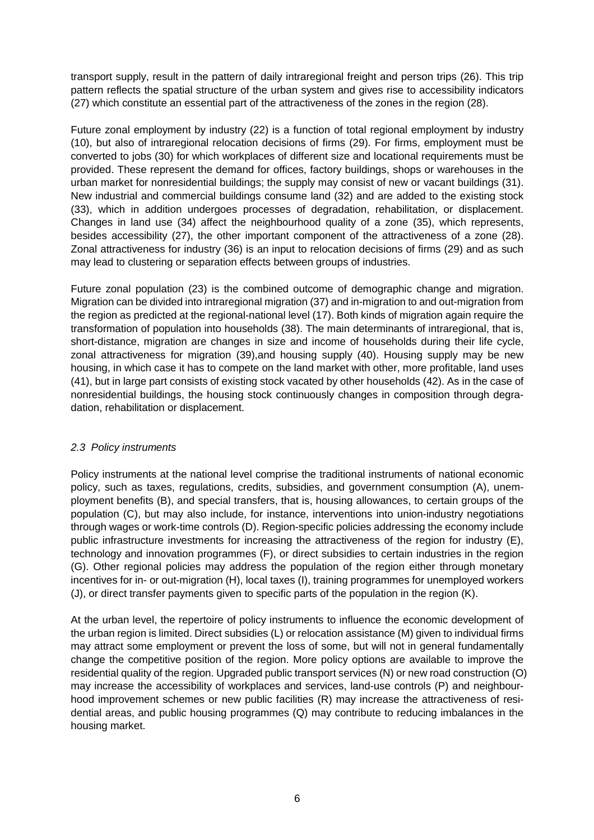transport supply, result in the pattern of daily intraregional freight and person trips (26). This trip pattern reflects the spatial structure of the urban system and gives rise to accessibility indicators (27) which constitute an essential part of the attractiveness of the zones in the region (28).

Future zonal employment by industry (22) is a function of total regional employment by industry (10), but also of intraregional relocation decisions of firms (29). For firms, employment must be converted to jobs (30) for which workplaces of different size and locational requirements must be provided. These represent the demand for offices, factory buildings, shops or warehouses in the urban market for nonresidential buildings; the supply may consist of new or vacant buildings (31). New industrial and commercial buildings consume land (32) and are added to the existing stock (33), which in addition undergoes processes of degradation, rehabilitation, or displacement. Changes in land use (34) affect the neighbourhood quality of a zone (35), which represents, besides accessibility (27), the other important component of the attractiveness of a zone (28). Zonal attractiveness for industry (36) is an input to relocation decisions of firms (29) and as such may lead to clustering or separation effects between groups of industries.

Future zonal population (23) is the combined outcome of demographic change and migration. Migration can be divided into intraregional migration (37) and in-migration to and out-migration from the region as predicted at the regional-national level (17). Both kinds of migration again require the transformation of population into households (38). The main determinants of intraregional, that is, short-distance, migration are changes in size and income of households during their life cycle, zonal attractiveness for migration (39),and housing supply (40). Housing supply may be new housing, in which case it has to compete on the land market with other, more profitable, land uses (41), but in large part consists of existing stock vacated by other households (42). As in the case of nonresidential buildings, the housing stock continuously changes in composition through degradation, rehabilitation or displacement.

### 2.3 Policy instruments

Policy instruments at the national level comprise the traditional instruments of national economic policy, such as taxes, regulations, credits, subsidies, and government consumption (A), unemployment benefits (B), and special transfers, that is, housing allowances, to certain groups of the population (C), but may also include, for instance, interventions into union-industry negotiations through wages or work-time controls (D). Region-specific policies addressing the economy include public infrastructure investments for increasing the attractiveness of the region for industry (E), technology and innovation programmes (F), or direct subsidies to certain industries in the region (G). Other regional policies may address the population of the region either through monetary incentives for in- or out-migration (H), local taxes (I), training programmes for unemployed workers (J), or direct transfer payments given to specific parts of the population in the region (K).

At the urban level, the repertoire of policy instruments to influence the economic development of the urban region is limited. Direct subsidies (L) or relocation assistance (M) given to individual firms may attract some employment or prevent the loss of some, but will not in general fundamentally change the competitive position of the region. More policy options are available to improve the residential quality of the region. Upgraded public transport services (N) or new road construction (O) may increase the accessibility of workplaces and services, land-use controls (P) and neighbourhood improvement schemes or new public facilities (R) may increase the attractiveness of residential areas, and public housing programmes (Q) may contribute to reducing imbalances in the housing market.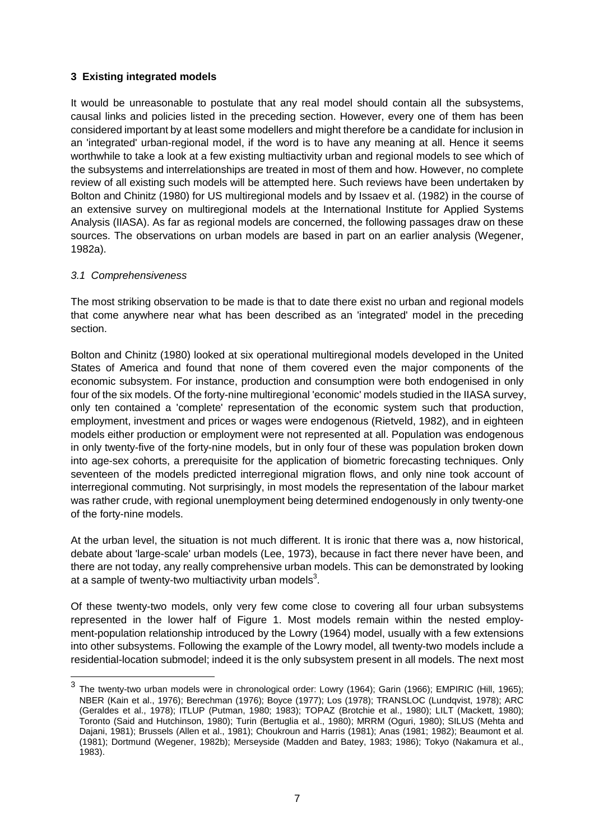### **3 Existing integrated models**

It would be unreasonable to postulate that any real model should contain all the subsystems, causal links and policies listed in the preceding section. However, every one of them has been considered important by at least some modellers and might therefore be a candidate for inclusion in an 'integrated' urban-regional model, if the word is to have any meaning at all. Hence it seems worthwhile to take a look at a few existing multiactivity urban and regional models to see which of the subsystems and interrelationships are treated in most of them and how. However, no complete review of all existing such models will be attempted here. Such reviews have been undertaken by Bolton and Chinitz (1980) for US multiregional models and by Issaev et al. (1982) in the course of an extensive survey on multiregional models at the International Institute for Applied Systems Analysis (IIASA). As far as regional models are concerned, the following passages draw on these sources. The observations on urban models are based in part on an earlier analysis (Wegener, 1982a).

### 3.1 Comprehensiveness

The most striking observation to be made is that to date there exist no urban and regional models that come anywhere near what has been described as an 'integrated' model in the preceding section.

Bolton and Chinitz (1980) looked at six operational multiregional models developed in the United States of America and found that none of them covered even the major components of the economic subsystem. For instance, production and consumption were both endogenised in only four of the six models. Of the forty-nine multiregional 'economic' models studied in the IIASA survey, only ten contained a 'complete' representation of the economic system such that production, employment, investment and prices or wages were endogenous (Rietveld, 1982), and in eighteen models either production or employment were not represented at all. Population was endogenous in only twenty-five of the forty-nine models, but in only four of these was population broken down into age-sex cohorts, a prerequisite for the application of biometric forecasting techniques. Only seventeen of the models predicted interregional migration flows, and only nine took account of interregional commuting. Not surprisingly, in most models the representation of the labour market was rather crude, with regional unemployment being determined endogenously in only twenty-one of the forty-nine models.

At the urban level, the situation is not much different. It is ironic that there was a, now historical, debate about 'large-scale' urban models (Lee, 1973), because in fact there never have been, and there are not today, any really comprehensive urban models. This can be demonstrated by looking at a sample of twenty-two multiactivity urban models<sup>3</sup>.

Of these twenty-two models, only very few come close to covering all four urban subsystems represented in the lower half of Figure 1. Most models remain within the nested employment-population relationship introduced by the Lowry (1964) model, usually with a few extensions into other subsystems. Following the example of the Lowry model, all twenty-two models include a residential-location submodel; indeed it is the only subsystem present in all models. The next most

<sup>&</sup>lt;u>3</u><br>3 The twenty-two urban models were in chronological order: Lowry (1964); Garin (1966); EMPIRIC (Hill, 1965); NBER (Kain et al., 1976); Berechman (1976); Boyce (1977); Los (1978); TRANSLOC (Lundqvist, 1978); ARC (Geraldes et al., 1978); ITLUP (Putman, 1980; 1983); TOPAZ (Brotchie et al., 1980); LILT (Mackett, 1980); Toronto (Said and Hutchinson, 1980); Turin (Bertuglia et al., 1980); MRRM (Oguri, 1980); SILUS (Mehta and Dajani, 1981); Brussels (Allen et al., 1981); Choukroun and Harris (1981); Anas (1981; 1982); Beaumont et al. (1981); Dortmund (Wegener, 1982b); Merseyside (Madden and Batey, 1983; 1986); Tokyo (Nakamura et al., 1983).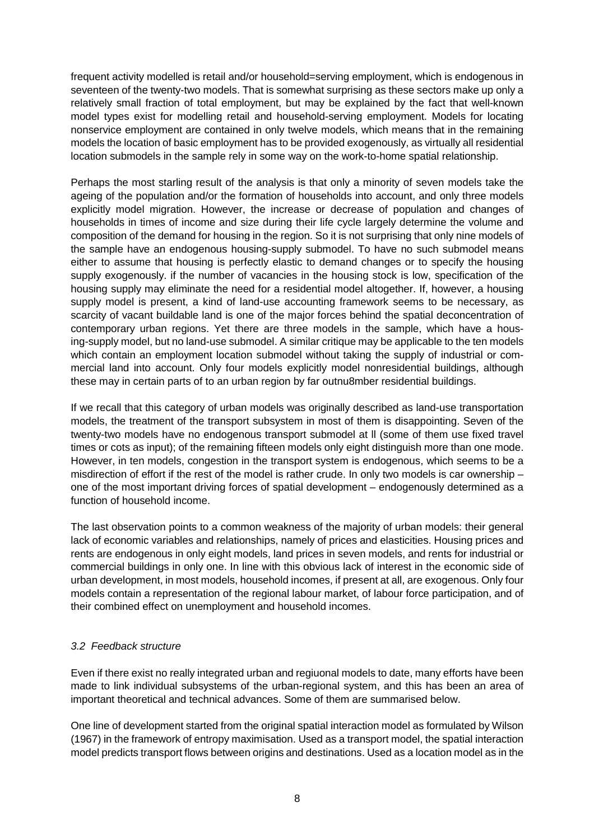frequent activity modelled is retail and/or household=serving employment, which is endogenous in seventeen of the twenty-two models. That is somewhat surprising as these sectors make up only a relatively small fraction of total employment, but may be explained by the fact that well-known model types exist for modelling retail and household-serving employment. Models for locating nonservice employment are contained in only twelve models, which means that in the remaining models the location of basic employment has to be provided exogenously, as virtually all residential location submodels in the sample rely in some way on the work-to-home spatial relationship.

Perhaps the most starling result of the analysis is that only a minority of seven models take the ageing of the population and/or the formation of households into account, and only three models explicitly model migration. However, the increase or decrease of population and changes of households in times of income and size during their life cycle largely determine the volume and composition of the demand for housing in the region. So it is not surprising that only nine models of the sample have an endogenous housing-supply submodel. To have no such submodel means either to assume that housing is perfectly elastic to demand changes or to specify the housing supply exogenously. if the number of vacancies in the housing stock is low, specification of the housing supply may eliminate the need for a residential model altogether. If, however, a housing supply model is present, a kind of land-use accounting framework seems to be necessary, as scarcity of vacant buildable land is one of the major forces behind the spatial deconcentration of contemporary urban regions. Yet there are three models in the sample, which have a housing-supply model, but no land-use submodel. A similar critique may be applicable to the ten models which contain an employment location submodel without taking the supply of industrial or commercial land into account. Only four models explicitly model nonresidential buildings, although these may in certain parts of to an urban region by far outnu8mber residential buildings.

If we recall that this category of urban models was originally described as land-use transportation models, the treatment of the transport subsystem in most of them is disappointing. Seven of the twenty-two models have no endogenous transport submodel at ll (some of them use fixed travel times or cots as input); of the remaining fifteen models only eight distinguish more than one mode. However, in ten models, congestion in the transport system is endogenous, which seems to be a misdirection of effort if the rest of the model is rather crude. In only two models is car ownership – one of the most important driving forces of spatial development – endogenously determined as a function of household income.

The last observation points to a common weakness of the majority of urban models: their general lack of economic variables and relationships, namely of prices and elasticities. Housing prices and rents are endogenous in only eight models, land prices in seven models, and rents for industrial or commercial buildings in only one. In line with this obvious lack of interest in the economic side of urban development, in most models, household incomes, if present at all, are exogenous. Only four models contain a representation of the regional labour market, of labour force participation, and of their combined effect on unemployment and household incomes.

### 3.2 Feedback structure

Even if there exist no really integrated urban and regiuonal models to date, many efforts have been made to link individual subsystems of the urban-regional system, and this has been an area of important theoretical and technical advances. Some of them are summarised below.

One line of development started from the original spatial interaction model as formulated by Wilson (1967) in the framework of entropy maximisation. Used as a transport model, the spatial interaction model predicts transport flows between origins and destinations. Used as a location model as in the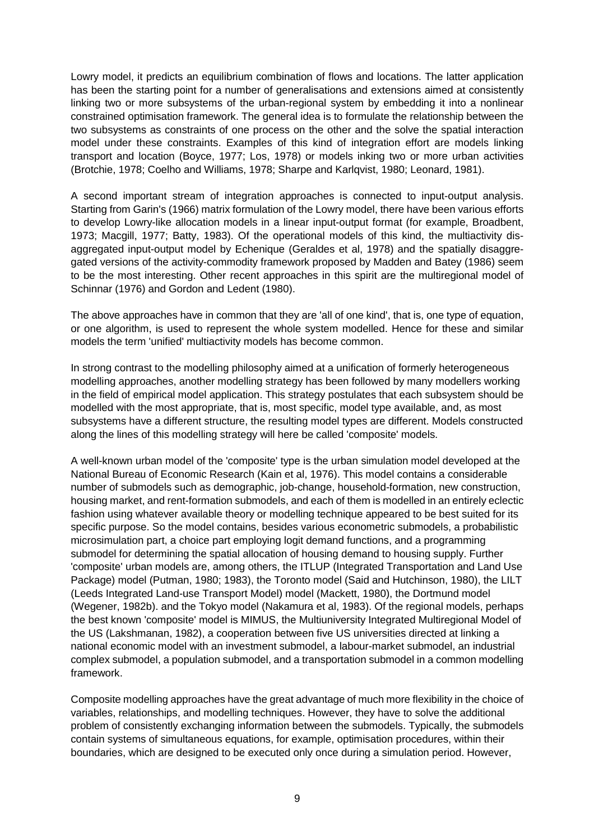Lowry model, it predicts an equilibrium combination of flows and locations. The latter application has been the starting point for a number of generalisations and extensions aimed at consistently linking two or more subsystems of the urban-regional system by embedding it into a nonlinear constrained optimisation framework. The general idea is to formulate the relationship between the two subsystems as constraints of one process on the other and the solve the spatial interaction model under these constraints. Examples of this kind of integration effort are models linking transport and location (Boyce, 1977; Los, 1978) or models inking two or more urban activities (Brotchie, 1978; Coelho and Williams, 1978; Sharpe and Karlqvist, 1980; Leonard, 1981).

A second important stream of integration approaches is connected to input-output analysis. Starting from Garin's (1966) matrix formulation of the Lowry model, there have been various efforts to develop Lowry-like allocation models in a linear input-output format (for example, Broadbent, 1973; Macgill, 1977; Batty, 1983). Of the operational models of this kind, the multiactivity disaggregated input-output model by Echenique (Geraldes et al, 1978) and the spatially disaggregated versions of the activity-commodity framework proposed by Madden and Batey (1986) seem to be the most interesting. Other recent approaches in this spirit are the multiregional model of Schinnar (1976) and Gordon and Ledent (1980).

The above approaches have in common that they are 'all of one kind', that is, one type of equation, or one algorithm, is used to represent the whole system modelled. Hence for these and similar models the term 'unified' multiactivity models has become common.

In strong contrast to the modelling philosophy aimed at a unification of formerly heterogeneous modelling approaches, another modelling strategy has been followed by many modellers working in the field of empirical model application. This strategy postulates that each subsystem should be modelled with the most appropriate, that is, most specific, model type available, and, as most subsystems have a different structure, the resulting model types are different. Models constructed along the lines of this modelling strategy will here be called 'composite' models.

A well-known urban model of the 'composite' type is the urban simulation model developed at the National Bureau of Economic Research (Kain et al, 1976). This model contains a considerable number of submodels such as demographic, job-change, household-formation, new construction, housing market, and rent-formation submodels, and each of them is modelled in an entirely eclectic fashion using whatever available theory or modelling technique appeared to be best suited for its specific purpose. So the model contains, besides various econometric submodels, a probabilistic microsimulation part, a choice part employing logit demand functions, and a programming submodel for determining the spatial allocation of housing demand to housing supply. Further 'composite' urban models are, among others, the ITLUP (Integrated Transportation and Land Use Package) model (Putman, 1980; 1983), the Toronto model (Said and Hutchinson, 1980), the LILT (Leeds Integrated Land-use Transport Model) model (Mackett, 1980), the Dortmund model (Wegener, 1982b). and the Tokyo model (Nakamura et al, 1983). Of the regional models, perhaps the best known 'composite' model is MIMUS, the Multiuniversity Integrated Multiregional Model of the US (Lakshmanan, 1982), a cooperation between five US universities directed at linking a national economic model with an investment submodel, a labour-market submodel, an industrial complex submodel, a population submodel, and a transportation submodel in a common modelling framework.

Composite modelling approaches have the great advantage of much more flexibility in the choice of variables, relationships, and modelling techniques. However, they have to solve the additional problem of consistently exchanging information between the submodels. Typically, the submodels contain systems of simultaneous equations, for example, optimisation procedures, within their boundaries, which are designed to be executed only once during a simulation period. However,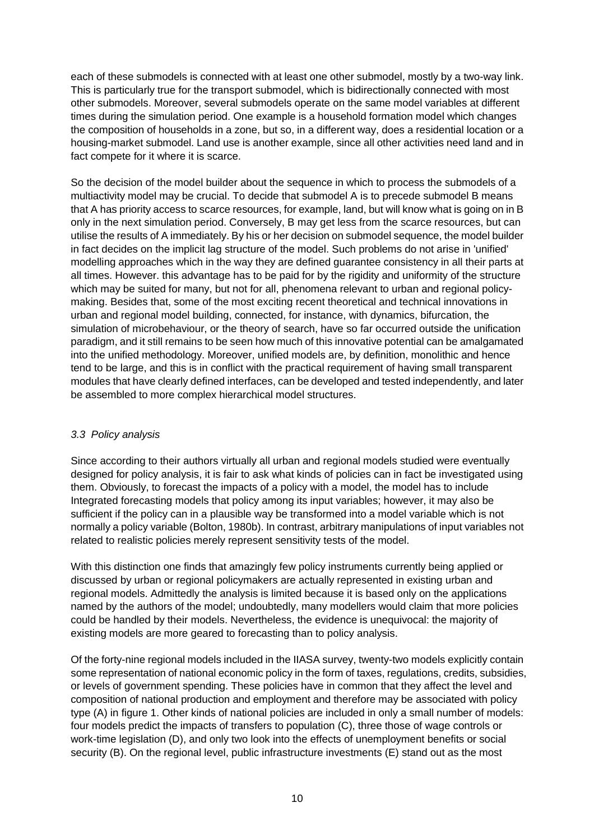each of these submodels is connected with at least one other submodel, mostly by a two-way link. This is particularly true for the transport submodel, which is bidirectionally connected with most other submodels. Moreover, several submodels operate on the same model variables at different times during the simulation period. One example is a household formation model which changes the composition of households in a zone, but so, in a different way, does a residential location or a housing-market submodel. Land use is another example, since all other activities need land and in fact compete for it where it is scarce.

So the decision of the model builder about the sequence in which to process the submodels of a multiactivity model may be crucial. To decide that submodel A is to precede submodel B means that A has priority access to scarce resources, for example, land, but will know what is going on in B only in the next simulation period. Conversely, B may get less from the scarce resources, but can utilise the results of A immediately. By his or her decision on submodel sequence, the model builder in fact decides on the implicit lag structure of the model. Such problems do not arise in 'unified' modelling approaches which in the way they are defined guarantee consistency in all their parts at all times. However. this advantage has to be paid for by the rigidity and uniformity of the structure which may be suited for many, but not for all, phenomena relevant to urban and regional policymaking. Besides that, some of the most exciting recent theoretical and technical innovations in urban and regional model building, connected, for instance, with dynamics, bifurcation, the simulation of microbehaviour, or the theory of search, have so far occurred outside the unification paradigm, and it still remains to be seen how much of this innovative potential can be amalgamated into the unified methodology. Moreover, unified models are, by definition, monolithic and hence tend to be large, and this is in conflict with the practical requirement of having small transparent modules that have clearly defined interfaces, can be developed and tested independently, and later be assembled to more complex hierarchical model structures.

### 3.3 Policy analysis

Since according to their authors virtually all urban and regional models studied were eventually designed for policy analysis, it is fair to ask what kinds of policies can in fact be investigated using them. Obviously, to forecast the impacts of a policy with a model, the model has to include Integrated forecasting models that policy among its input variables; however, it may also be sufficient if the policy can in a plausible way be transformed into a model variable which is not normally a policy variable (Bolton, 1980b). In contrast, arbitrary manipulations of input variables not related to realistic policies merely represent sensitivity tests of the model.

With this distinction one finds that amazingly few policy instruments currently being applied or discussed by urban or regional policymakers are actually represented in existing urban and regional models. Admittedly the analysis is limited because it is based only on the applications named by the authors of the model; undoubtedly, many modellers would claim that more policies could be handled by their models. Nevertheless, the evidence is unequivocal: the majority of existing models are more geared to forecasting than to policy analysis.

Of the forty-nine regional models included in the IIASA survey, twenty-two models explicitly contain some representation of national economic policy in the form of taxes, regulations, credits, subsidies, or levels of government spending. These policies have in common that they affect the level and composition of national production and employment and therefore may be associated with policy type (A) in figure 1. Other kinds of national policies are included in only a small number of models: four models predict the impacts of transfers to population (C), three those of wage controls or work-time legislation (D), and only two look into the effects of unemployment benefits or social security (B). On the regional level, public infrastructure investments (E) stand out as the most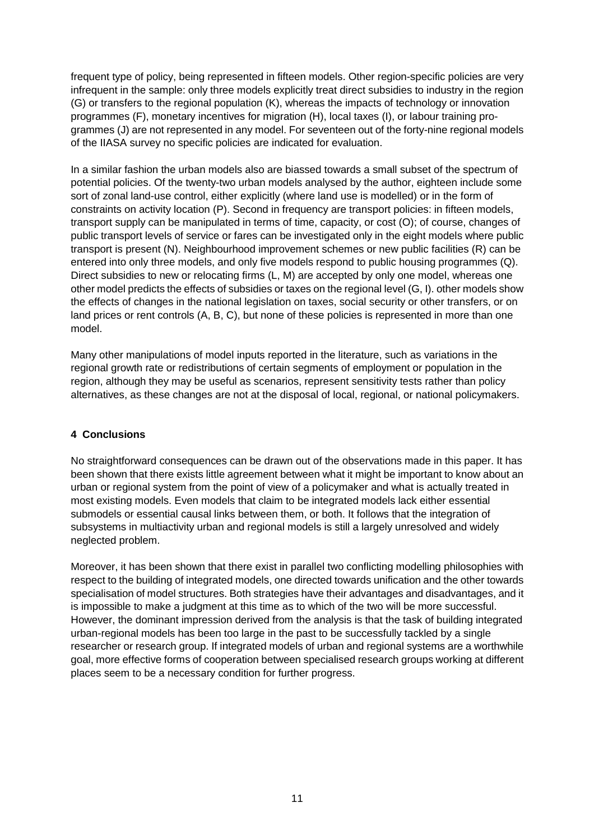frequent type of policy, being represented in fifteen models. Other region-specific policies are very infrequent in the sample: only three models explicitly treat direct subsidies to industry in the region (G) or transfers to the regional population (K), whereas the impacts of technology or innovation programmes (F), monetary incentives for migration (H), local taxes (I), or labour training programmes (J) are not represented in any model. For seventeen out of the forty-nine regional models of the IIASA survey no specific policies are indicated for evaluation.

In a similar fashion the urban models also are biassed towards a small subset of the spectrum of potential policies. Of the twenty-two urban models analysed by the author, eighteen include some sort of zonal land-use control, either explicitly (where land use is modelled) or in the form of constraints on activity location (P). Second in frequency are transport policies: in fifteen models, transport supply can be manipulated in terms of time, capacity, or cost (O); of course, changes of public transport levels of service or fares can be investigated only in the eight models where public transport is present (N). Neighbourhood improvement schemes or new public facilities (R) can be entered into only three models, and only five models respond to public housing programmes (Q). Direct subsidies to new or relocating firms (L, M) are accepted by only one model, whereas one other model predicts the effects of subsidies or taxes on the regional level (G, I). other models show the effects of changes in the national legislation on taxes, social security or other transfers, or on land prices or rent controls (A, B, C), but none of these policies is represented in more than one model.

Many other manipulations of model inputs reported in the literature, such as variations in the regional growth rate or redistributions of certain segments of employment or population in the region, although they may be useful as scenarios, represent sensitivity tests rather than policy alternatives, as these changes are not at the disposal of local, regional, or national policymakers.

## **4 Conclusions**

No straightforward consequences can be drawn out of the observations made in this paper. It has been shown that there exists little agreement between what it might be important to know about an urban or regional system from the point of view of a policymaker and what is actually treated in most existing models. Even models that claim to be integrated models lack either essential submodels or essential causal links between them, or both. It follows that the integration of subsystems in multiactivity urban and regional models is still a largely unresolved and widely neglected problem.

Moreover, it has been shown that there exist in parallel two conflicting modelling philosophies with respect to the building of integrated models, one directed towards unification and the other towards specialisation of model structures. Both strategies have their advantages and disadvantages, and it is impossible to make a judgment at this time as to which of the two will be more successful. However, the dominant impression derived from the analysis is that the task of building integrated urban-regional models has been too large in the past to be successfully tackled by a single researcher or research group. If integrated models of urban and regional systems are a worthwhile goal, more effective forms of cooperation between specialised research groups working at different places seem to be a necessary condition for further progress.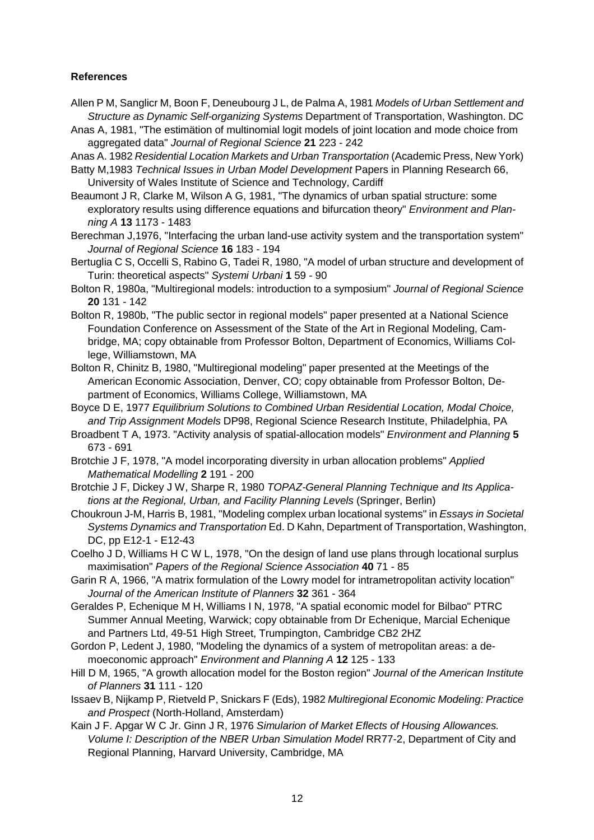#### **References**

- Allen P M, Sanglicr M, Boon F, Deneubourg J L, de Palma A, 1981 Models of Urban Settlement and Structure as Dynamic Self-organizing Systems Department of Transportation, Washington. DC
- Anas A, 1981, "The estimätion of multinomial logit models of joint location and mode choice from aggregated data" Journal of Regional Science **21** 223 - 242
- Anas A. 1982 Residential Location Markets and Urban Transportation (Academic Press, New York)
- Batty M,1983 Technical Issues in Urban Model Development Papers in Planning Research 66, University of Wales Institute of Science and Technology, Cardiff
- Beaumont J R, Clarke M, Wilson A G, 1981, "The dynamics of urban spatial structure: some exploratory results using difference equations and bifurcation theory" Environment and Planning A **13** 1173 - 1483
- Berechman J,1976, "Interfacing the urban land-use activity system and the transportation system" Journal of Regional Science **16** 183 - 194
- Bertuglia C S, Occelli S, Rabino G, Tadei R, 1980, "A model of urban structure and development of Turin: theoretical aspects" Systemi Urbani **1** 59 - 90
- Bolton R, 1980a, "Multiregional models: introduction to a symposium" Journal of Regional Science **20** 131 - 142
- Bolton R, 1980b, "The public sector in regional models" paper presented at a National Science Foundation Conference on Assessment of the State of the Art in Regional Modeling, Cambridge, MA; copy obtainable from Professor Bolton, Department of Economics, Williams College, Williamstown, MA
- Bolton R, Chinitz B, 1980, "Multiregional modeling" paper presented at the Meetings of the American Economic Association, Denver, CO; copy obtainable from Professor Bolton, Department of Economics, Williams College, Williamstown, MA
- Boyce D E, 1977 Equilibrium Solutions to Combined Urban Residential Location, Modal Choice, and Trip Assignment Models DP98, Regional Science Research Institute, Philadelphia, PA
- Broadbent T A, 1973. "Activity analysis of spatial-allocation models" Environment and Planning **5**  673 - 691
- Brotchie J F, 1978, "A model incorporating diversity in urban allocation problems" Applied Mathematical Modelling **2** 191 - 200
- Brotchie J F, Dickey J W, Sharpe R, 1980 TOPAZ-General Planning Technique and Its Applications at the Regional, Urban, and Facility Planning Levels (Springer, Berlin)
- Choukroun J-M, Harris B, 1981, "Modeling complex urban locational systems" in Essays in Societal Systems Dynamics and Transportation Ed. D Kahn, Department of Transportation, Washington, DC, pp E12-1 - E12-43
- Coelho J D, Williams H C W L, 1978, "On the design of land use plans through locational surplus maximisation" Papers of the Regional Science Association **40** 71 - 85
- Garin R A, 1966, "A matrix formulation of the Lowry model for intrametropolitan activity location" Journal of the American Institute of Planners **32** 361 - 364
- Geraldes P, Echenique M H, Williams I N, 1978, "A spatial economic model for Bilbao" PTRC Summer Annual Meeting, Warwick; copy obtainable from Dr Echenique, Marcial Echenique and Partners Ltd, 49-51 High Street, Trumpington, Cambridge CB2 2HZ
- Gordon P, Ledent J, 1980, "Modeling the dynamics of a system of metropolitan areas: a demoeconomic approach" Environment and Planning A **12** 125 - 133
- Hill D M, 1965, "A growth allocation model for the Boston region" Journal of the American Institute of Planners **31** 111 - 120
- Issaev B, Nijkamp P, Rietveld P, Snickars F (Eds), 1982 Multiregional Economic Modeling: Practice and Prospect (North-Holland, Amsterdam)
- Kain J F. Apgar W C Jr. Ginn J R, 1976 Simularion of Market Eflects of Housing Allowances. Volume I: Description of the NBER Urban Simulation Model RR77-2, Department of City and Regional Planning, Harvard University, Cambridge, MA